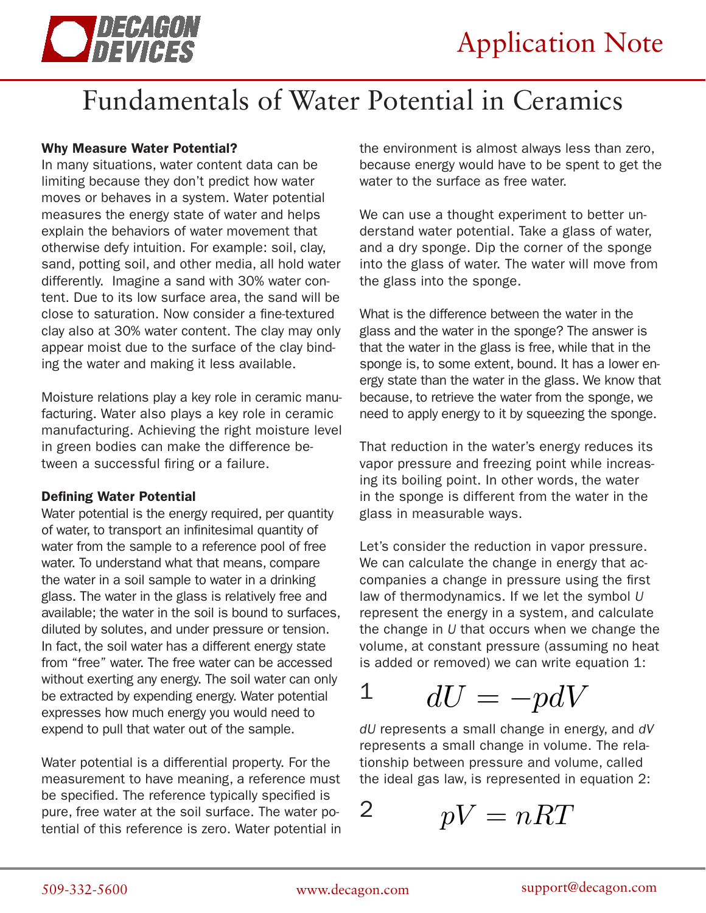

# Fundamentals of Water Potential in Ceramics

## Why Measure Water Potential?

In many situations, water content data can be limiting because they don't predict how water moves or behaves in a system. Water potential measures the energy state of water and helps explain the behaviors of water movement that otherwise defy intuition. For example: soil, clay, sand, potting soil, and other media, all hold water differently. Imagine a sand with 30% water content. Due to its low surface area, the sand will be close to saturation. Now consider a fine-textured clay also at 30% water content. The clay may only appear moist due to the surface of the clay binding the water and making it less available.

Moisture relations play a key role in ceramic manufacturing. Water also plays a key role in ceramic manufacturing. Achieving the right moisture level in green bodies can make the difference between a successful firing or a failure.

## Defining Water Potential

Water potential is the energy required, per quantity of water, to transport an infinitesimal quantity of water from the sample to a reference pool of free water. To understand what that means, compare the water in a soil sample to water in a drinking glass. The water in the glass is relatively free and available; the water in the soil is bound to surfaces, diluted by solutes, and under pressure or tension. In fact, the soil water has a different energy state from "free" water. The free water can be accessed without exerting any energy. The soil water can only be extracted by expending energy. Water potential expresses how much energy you would need to expend to pull that water out of the sample.

Water potential is a differential property. For the measurement to have meaning, a reference must be specified. The reference typically specified is pure, free water at the soil surface. The water potential of this reference is zero. Water potential in the environment is almost always less than zero, because energy would have to be spent to get the water to the surface as free water.

We can use a thought experiment to better understand water potential. Take a glass of water, and a dry sponge. Dip the corner of the sponge into the glass of water. The water will move from the glass into the sponge.

What is the difference between the water in the glass and the water in the sponge? The answer is that the water in the glass is free, while that in the sponge is, to some extent, bound. It has a lower energy state than the water in the glass. We know that because, to retrieve the water from the sponge, we need to apply energy to it by squeezing the sponge.

That reduction in the water's energy reduces its vapor pressure and freezing point while increasing its boiling point. In other words, the water in the sponge is different from the water in the glass in measurable ways.

Let's consider the reduction in vapor pressure. We can calculate the change in energy that accompanies a change in pressure using the first law of thermodynamics. If we let the symbol *U*  represent the energy in a system, and calculate the change in *U* that occurs when we change the volume, at constant pressure (assuming no heat is added or removed) we can write equation 1:

## $dU = -pdV$ 1

*dU* represents a small change in energy, and *dV* represents a small change in volume. The relationship between pressure and volume, called the ideal gas law, is represented in equation 2:

 $pV = nRT$ 2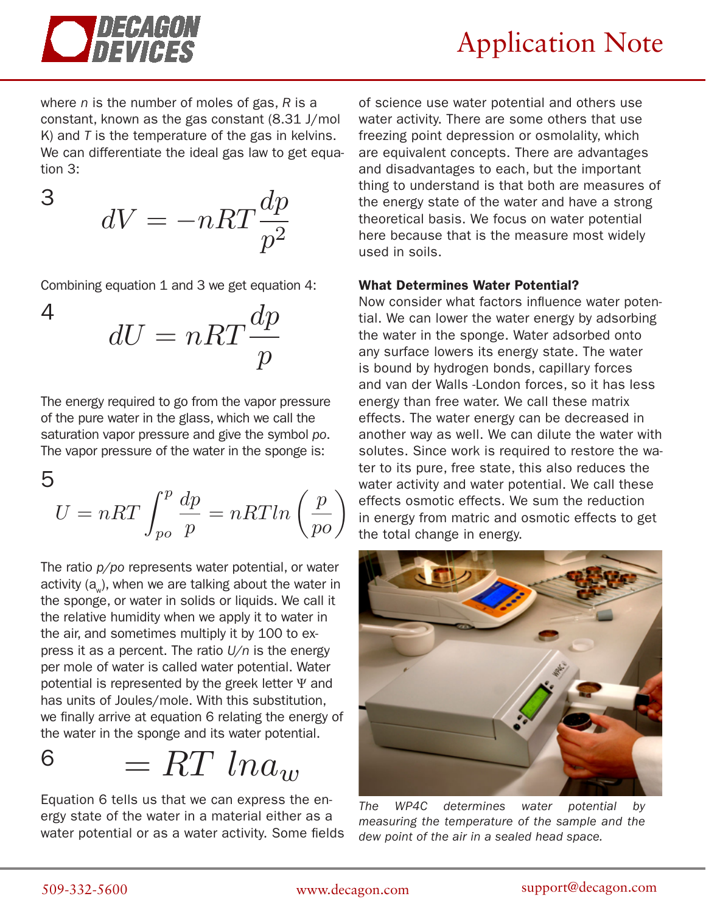

3

where *n* is the number of moles of gas, *R* is a constant, known as the gas constant (8.31 J/mol K) and *T* is the temperature of the gas in kelvins. We can differentiate the ideal gas law to get equation 3:

$$
dV = -nRT \frac{dp}{p^2}
$$

Combining equation 1 and 3 we get equation 4:

$$
dU = nRT \frac{dp}{p}
$$

The energy required to go from the vapor pressure of the pure water in the glass, which we call the saturation vapor pressure and give the symbol *po*. The vapor pressure of the water in the sponge is:

$$
U = nRT \int_{po}^{p} \frac{dp}{p} = nRTln\left(\frac{p}{po}\right)
$$

The ratio *p/po* represents water potential, or water activity  $(a_n)$ , when we are talking about the water in the sponge, or water in solids or liquids. We call it the relative humidity when we apply it to water in the air, and sometimes multiply it by 100 to express it as a percent. The ratio *U/n* is the energy per mole of water is called water potential. Water potential is represented by the greek letter Ψ and has units of Joules/mole. With this substitution, we finally arrive at equation 6 relating the energy of the water in the sponge and its water potential.

$$
6 \qquad = RT \, \, ln a_w
$$

Equation 6 tells us that we can express the energy state of the water in a material either as a water potential or as a water activity. Some fields

of science use water potential and others use water activity. There are some others that use freezing point depression or osmolality, which are equivalent concepts. There are advantages and disadvantages to each, but the important thing to understand is that both are measures of the energy state of the water and have a strong theoretical basis. We focus on water potential here because that is the measure most widely used in soils.

## What Determines Water Potential?

Now consider what factors influence water potential. We can lower the water energy by adsorbing the water in the sponge. Water adsorbed onto any surface lowers its energy state. The water is bound by hydrogen bonds, capillary forces and van der Walls -London forces, so it has less energy than free water. We call these matrix effects. The water energy can be decreased in another way as well. We can dilute the water with solutes. Since work is required to restore the water to its pure, free state, this also reduces the water activity and water potential. We call these effects osmotic effects. We sum the reduction in energy from matric and osmotic effects to get the total change in energy.



*The WP4C determines water potential by measuring the temperature of the sample and the dew point of the air in a sealed head space.*